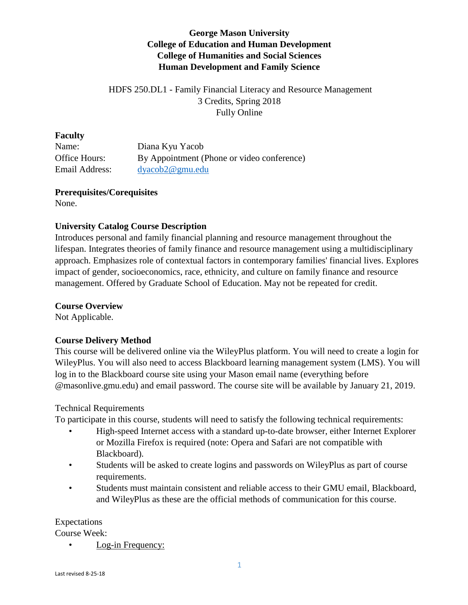# **George Mason University College of Education and Human Development College of Humanities and Social Sciences Human Development and Family Science**

# HDFS 250.DL1 - Family Financial Literacy and Resource Management 3 Credits, Spring 2018 Fully Online

#### **Faculty**

Name: Diana Kyu Yacob Office Hours: By Appointment (Phone or video conference) Email Address: [dyacob2@gmu.edu](mailto:dyacob2@gmu.edu)

# **Prerequisites/Corequisites**

None.

## **University Catalog Course Description**

Introduces personal and family financial planning and resource management throughout the lifespan. Integrates theories of family finance and resource management using a multidisciplinary approach. Emphasizes role of contextual factors in contemporary families' financial lives. Explores impact of gender, socioeconomics, race, ethnicity, and culture on family finance and resource management. Offered by Graduate School of Education. May not be repeated for credit.

#### **Course Overview**

Not Applicable.

## **Course Delivery Method**

This course will be delivered online via the WileyPlus platform. You will need to create a login for WileyPlus. You will also need to access Blackboard learning management system (LMS). You will log in to the Blackboard course site using your Mason email name (everything before @masonlive.gmu.edu) and email password. The course site will be available by January 21, 2019.

## Technical Requirements

To participate in this course, students will need to satisfy the following technical requirements:

- High-speed Internet access with a standard up-to-date browser, either Internet Explorer or Mozilla Firefox is required (note: Opera and Safari are not compatible with Blackboard).
- Students will be asked to create logins and passwords on WileyPlus as part of course requirements.
- Students must maintain consistent and reliable access to their GMU email, Blackboard, and WileyPlus as these are the official methods of communication for this course.

#### Expectations

Course Week:

Log-in Frequency: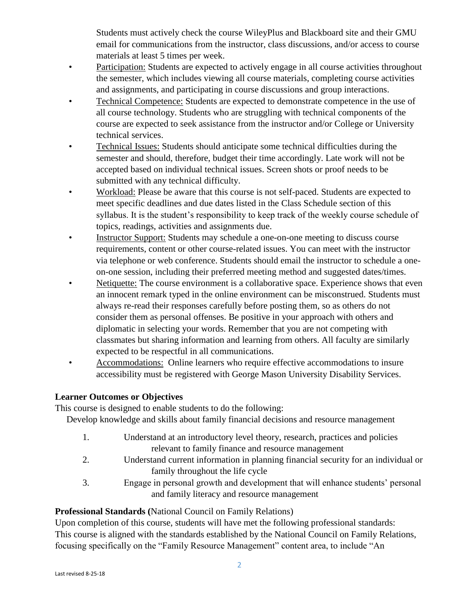Students must actively check the course WileyPlus and Blackboard site and their GMU email for communications from the instructor, class discussions, and/or access to course materials at least 5 times per week.

- Participation: Students are expected to actively engage in all course activities throughout the semester, which includes viewing all course materials, completing course activities and assignments, and participating in course discussions and group interactions.
- Technical Competence: Students are expected to demonstrate competence in the use of all course technology. Students who are struggling with technical components of the course are expected to seek assistance from the instructor and/or College or University technical services.
- Technical Issues: Students should anticipate some technical difficulties during the semester and should, therefore, budget their time accordingly. Late work will not be accepted based on individual technical issues. Screen shots or proof needs to be submitted with any technical difficulty.
- Workload: Please be aware that this course is not self-paced. Students are expected to meet specific deadlines and due dates listed in the Class Schedule section of this syllabus. It is the student's responsibility to keep track of the weekly course schedule of topics, readings, activities and assignments due.
- Instructor Support: Students may schedule a one-on-one meeting to discuss course requirements, content or other course-related issues. You can meet with the instructor via telephone or web conference. Students should email the instructor to schedule a oneon-one session, including their preferred meeting method and suggested dates/times.
- Netiquette: The course environment is a collaborative space. Experience shows that even an innocent remark typed in the online environment can be misconstrued. Students must always re-read their responses carefully before posting them, so as others do not consider them as personal offenses. Be positive in your approach with others and diplomatic in selecting your words. Remember that you are not competing with classmates but sharing information and learning from others. All faculty are similarly expected to be respectful in all communications.
- Accommodations: Online learners who require effective accommodations to insure accessibility must be registered with George Mason University Disability Services.

## **Learner Outcomes or Objectives**

This course is designed to enable students to do the following:

Develop knowledge and skills about family financial decisions and resource management

- 1. Understand at an introductory level theory, research, practices and policies relevant to family finance and resource management
- 2. Understand current information in planning financial security for an individual or family throughout the life cycle
- 3. Engage in personal growth and development that will enhance students' personal and family literacy and resource management

# **Professional Standards (**National Council on Family Relations)

Upon completion of this course, students will have met the following professional standards: This course is aligned with the standards established by the National Council on Family Relations, focusing specifically on the "Family Resource Management" content area, to include "An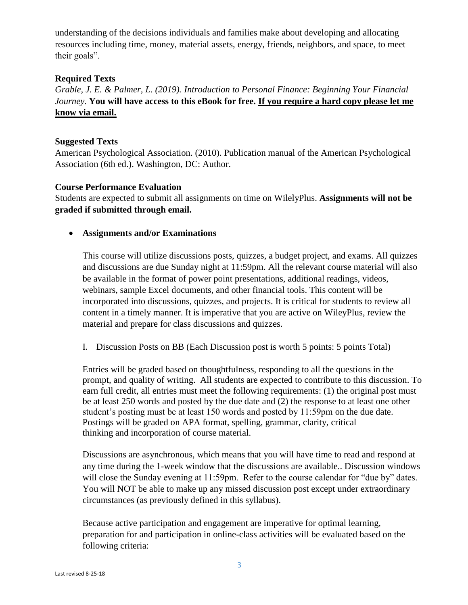understanding of the decisions individuals and families make about developing and allocating resources including time, money, material assets, energy, friends, neighbors, and space, to meet their goals".

#### **Required Texts**

*Grable, J. E. & Palmer, L. (2019). Introduction to Personal Finance: Beginning Your Financial Journey.* **You will have access to this eBook for free. If you require a hard copy please let me know via email.**

#### **Suggested Texts**

American Psychological Association. (2010). Publication manual of the American Psychological Association (6th ed.). Washington, DC: Author.

#### **Course Performance Evaluation**

Students are expected to submit all assignments on time on WilelyPlus. **Assignments will not be graded if submitted through email.** 

**Assignments and/or Examinations**

This course will utilize discussions posts, quizzes, a budget project, and exams. All quizzes and discussions are due Sunday night at 11:59pm. All the relevant course material will also be available in the format of power point presentations, additional readings, videos, webinars, sample Excel documents, and other financial tools. This content will be incorporated into discussions, quizzes, and projects. It is critical for students to review all content in a timely manner. It is imperative that you are active on WileyPlus, review the material and prepare for class discussions and quizzes.

I. Discussion Posts on BB (Each Discussion post is worth 5 points: 5 points Total)

Entries will be graded based on thoughtfulness, responding to all the questions in the prompt, and quality of writing. All students are expected to contribute to this discussion. To earn full credit, all entries must meet the following requirements: (1) the original post must be at least 250 words and posted by the due date and (2) the response to at least one other student's posting must be at least 150 words and posted by 11:59pm on the due date. Postings will be graded on APA format, spelling, grammar, clarity, critical thinking and incorporation of course material.

Discussions are asynchronous, which means that you will have time to read and respond at any time during the 1-week window that the discussions are available.. Discussion windows will close the Sunday evening at 11:59pm. Refer to the course calendar for "due by" dates. You will NOT be able to make up any missed discussion post except under extraordinary circumstances (as previously defined in this syllabus).

Because active participation and engagement are imperative for optimal learning, preparation for and participation in online-class activities will be evaluated based on the following criteria: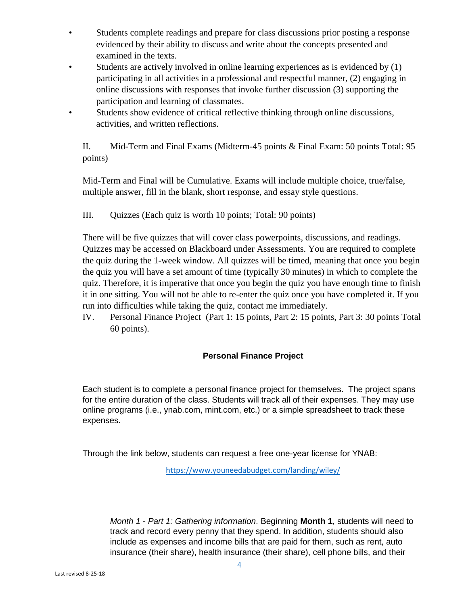- Students complete readings and prepare for class discussions prior posting a response evidenced by their ability to discuss and write about the concepts presented and examined in the texts.
- Students are actively involved in online learning experiences as is evidenced by (1) participating in all activities in a professional and respectful manner, (2) engaging in online discussions with responses that invoke further discussion (3) supporting the participation and learning of classmates.
- Students show evidence of critical reflective thinking through online discussions, activities, and written reflections.

II. Mid-Term and Final Exams (Midterm-45 points & Final Exam: 50 points Total: 95 points)

Mid-Term and Final will be Cumulative. Exams will include multiple choice, true/false, multiple answer, fill in the blank, short response, and essay style questions.

III. Quizzes (Each quiz is worth 10 points; Total: 90 points)

There will be five quizzes that will cover class powerpoints, discussions, and readings. Quizzes may be accessed on Blackboard under Assessments. You are required to complete the quiz during the 1-week window. All quizzes will be timed, meaning that once you begin the quiz you will have a set amount of time (typically 30 minutes) in which to complete the quiz. Therefore, it is imperative that once you begin the quiz you have enough time to finish it in one sitting. You will not be able to re-enter the quiz once you have completed it. If you run into difficulties while taking the quiz, contact me immediately.

IV. Personal Finance Project (Part 1: 15 points, Part 2: 15 points, Part 3: 30 points Total 60 points).

## **Personal Finance Project**

Each student is to complete a personal finance project for themselves. The project spans for the entire duration of the class. Students will track all of their expenses. They may use online programs (i.e., ynab.com, mint.com, etc.) or a simple spreadsheet to track these expenses.

Through the link below, students can request a free one-year license for YNAB:

<https://www.youneedabudget.com/landing/wiley/>

*Month 1 - Part 1: Gathering information*. Beginning **Month 1**, students will need to track and record every penny that they spend. In addition, students should also include as expenses and income bills that are paid for them, such as rent, auto insurance (their share), health insurance (their share), cell phone bills, and their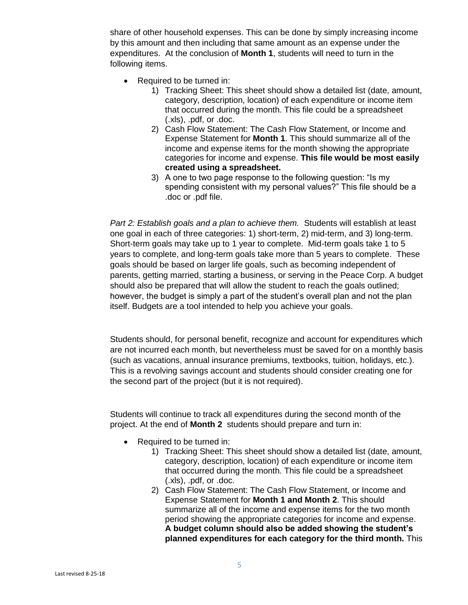share of other household expenses. This can be done by simply increasing income by this amount and then including that same amount as an expense under the expenditures. At the conclusion of **Month 1**, students will need to turn in the following items.

- Required to be turned in:
	- 1) Tracking Sheet: This sheet should show a detailed list (date, amount, category, description, location) of each expenditure or income item that occurred during the month. This file could be a spreadsheet (.xls), .pdf, or .doc.
	- 2) Cash Flow Statement: The Cash Flow Statement, or Income and Expense Statement for **Month 1**. This should summarize all of the income and expense items for the month showing the appropriate categories for income and expense. **This file would be most easily created using a spreadsheet.**
	- 3) A one to two page response to the following question: "Is my spending consistent with my personal values?" This file should be a .doc or .pdf file.

*Part 2: Establish goals and a plan to achieve them.* Students will establish at least one goal in each of three categories: 1) short-term, 2) mid-term, and 3) long-term. Short-term goals may take up to 1 year to complete. Mid-term goals take 1 to 5 years to complete, and long-term goals take more than 5 years to complete. These goals should be based on larger life goals, such as becoming independent of parents, getting married, starting a business, or serving in the Peace Corp. A budget should also be prepared that will allow the student to reach the goals outlined; however, the budget is simply a part of the student's overall plan and not the plan itself. Budgets are a tool intended to help you achieve your goals.

Students should, for personal benefit, recognize and account for expenditures which are not incurred each month, but nevertheless must be saved for on a monthly basis (such as vacations, annual insurance premiums, textbooks, tuition, holidays, etc.). This is a revolving savings account and students should consider creating one for the second part of the project (but it is not required).

Students will continue to track all expenditures during the second month of the project. At the end of **Month 2** students should prepare and turn in:

- Required to be turned in:
	- 1) Tracking Sheet: This sheet should show a detailed list (date, amount, category, description, location) of each expenditure or income item that occurred during the month. This file could be a spreadsheet (.xls), .pdf, or .doc.
	- 2) Cash Flow Statement: The Cash Flow Statement, or Income and Expense Statement for **Month 1 and Month 2**. This should summarize all of the income and expense items for the two month period showing the appropriate categories for income and expense. **A budget column should also be added showing the student's planned expenditures for each category for the third month.** This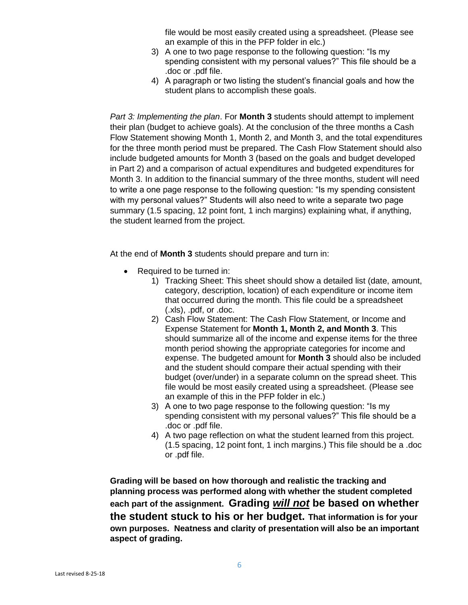file would be most easily created using a spreadsheet. (Please see an example of this in the PFP folder in elc.)

- 3) A one to two page response to the following question: "Is my spending consistent with my personal values?" This file should be a .doc or .pdf file.
- 4) A paragraph or two listing the student's financial goals and how the student plans to accomplish these goals.

*Part 3: Implementing the plan*. For **Month 3** students should attempt to implement their plan (budget to achieve goals). At the conclusion of the three months a Cash Flow Statement showing Month 1, Month 2, and Month 3, and the total expenditures for the three month period must be prepared. The Cash Flow Statement should also include budgeted amounts for Month 3 (based on the goals and budget developed in Part 2) and a comparison of actual expenditures and budgeted expenditures for Month 3. In addition to the financial summary of the three months, student will need to write a one page response to the following question: "Is my spending consistent with my personal values?" Students will also need to write a separate two page summary (1.5 spacing, 12 point font, 1 inch margins) explaining what, if anything, the student learned from the project.

At the end of **Month 3** students should prepare and turn in:

- Required to be turned in:
	- 1) Tracking Sheet: This sheet should show a detailed list (date, amount, category, description, location) of each expenditure or income item that occurred during the month. This file could be a spreadsheet (.xls), .pdf, or .doc.
	- 2) Cash Flow Statement: The Cash Flow Statement, or Income and Expense Statement for **Month 1, Month 2, and Month 3**. This should summarize all of the income and expense items for the three month period showing the appropriate categories for income and expense. The budgeted amount for **Month 3** should also be included and the student should compare their actual spending with their budget (over/under) in a separate column on the spread sheet. This file would be most easily created using a spreadsheet. (Please see an example of this in the PFP folder in elc.)
	- 3) A one to two page response to the following question: "Is my spending consistent with my personal values?" This file should be a .doc or .pdf file.
	- 4) A two page reflection on what the student learned from this project. (1.5 spacing, 12 point font, 1 inch margins.) This file should be a .doc or .pdf file.

**Grading will be based on how thorough and realistic the tracking and planning process was performed along with whether the student completed each part of the assignment. Grading** *will not* **be based on whether the student stuck to his or her budget. That information is for your own purposes. Neatness and clarity of presentation will also be an important aspect of grading.**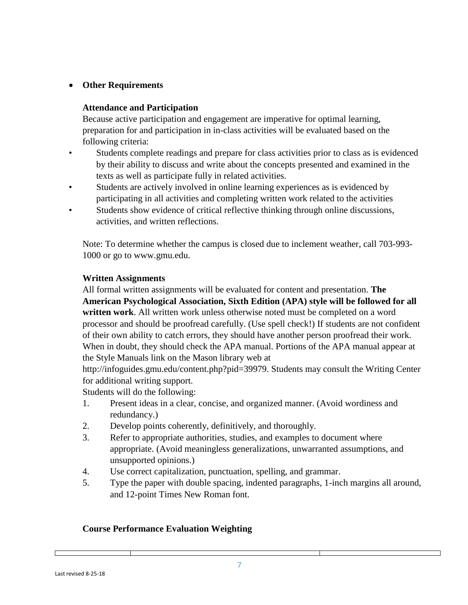# **Other Requirements**

#### **Attendance and Participation**

Because active participation and engagement are imperative for optimal learning, preparation for and participation in in-class activities will be evaluated based on the following criteria:

- Students complete readings and prepare for class activities prior to class as is evidenced by their ability to discuss and write about the concepts presented and examined in the texts as well as participate fully in related activities.
- Students are actively involved in online learning experiences as is evidenced by participating in all activities and completing written work related to the activities
- Students show evidence of critical reflective thinking through online discussions, activities, and written reflections.

Note: To determine whether the campus is closed due to inclement weather, call 703-993- 1000 or go to www.gmu.edu.

#### **Written Assignments**

All formal written assignments will be evaluated for content and presentation. **The American Psychological Association, Sixth Edition (APA) style will be followed for all written work**. All written work unless otherwise noted must be completed on a word processor and should be proofread carefully. (Use spell check!) If students are not confident of their own ability to catch errors, they should have another person proofread their work. When in doubt, they should check the APA manual. Portions of the APA manual appear at the Style Manuals link on the Mason library web at

http://infoguides.gmu.edu/content.php?pid=39979. Students may consult the Writing Center for additional writing support.

Students will do the following:

- 1. Present ideas in a clear, concise, and organized manner. (Avoid wordiness and redundancy.)
- 2. Develop points coherently, definitively, and thoroughly.
- 3. Refer to appropriate authorities, studies, and examples to document where appropriate. (Avoid meaningless generalizations, unwarranted assumptions, and unsupported opinions.)
- 4. Use correct capitalization, punctuation, spelling, and grammar.
- 5. Type the paper with double spacing, indented paragraphs, 1-inch margins all around, and 12-point Times New Roman font.

## **Course Performance Evaluation Weighting**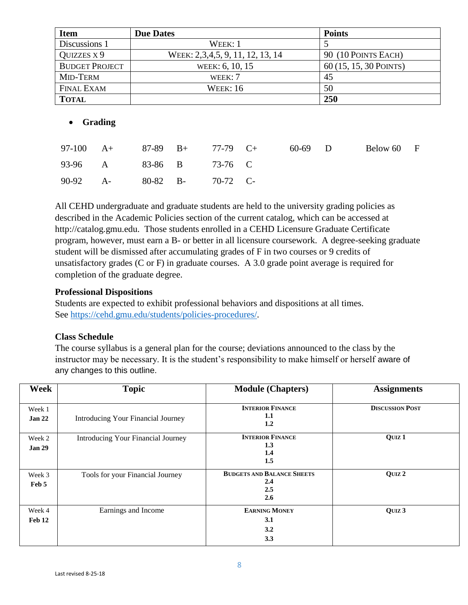| <b>Item</b>           | <b>Due Dates</b>                 | <b>Points</b>          |
|-----------------------|----------------------------------|------------------------|
| Discussions 1         | $W$ EEK: 1                       |                        |
| QUIZZES X 9           | WEEK: 2,3,4,5, 9, 11, 12, 13, 14 | 90 (10 POINTS EACH)    |
| <b>BUDGET PROJECT</b> | WEEK: 6, 10, 15                  | 60 (15, 15, 30 POINTS) |
| MID-TERM              | WEEK: $7$                        | 45                     |
| <b>FINAL EXAM</b>     | <b>WEEK: 16</b>                  | 50                     |
| <b>TOTAL</b>          |                                  | 250                    |

## **Grading**

| 97-100 A+ 87-89 B+ 77-79 C+ |  |  | 60-69 D | Below 60 F |  |
|-----------------------------|--|--|---------|------------|--|
| 93-96 A 83-86 B 73-76 C     |  |  |         |            |  |
| 90-92 A- 80-82 B- 70-72 C-  |  |  |         |            |  |

All CEHD undergraduate and graduate students are held to the university grading policies as described in the Academic Policies section of the current catalog, which can be accessed at http://catalog.gmu.edu. Those students enrolled in a CEHD Licensure Graduate Certificate program, however, must earn a B- or better in all licensure coursework. A degree-seeking graduate student will be dismissed after accumulating grades of F in two courses or 9 credits of unsatisfactory grades (C or F) in graduate courses. A 3.0 grade point average is required for completion of the graduate degree.

## **Professional Dispositions**

Students are expected to exhibit professional behaviors and dispositions at all times. See [https://cehd.gmu.edu/students/policies-procedures/.](https://cehd.gmu.edu/students/policies-procedures/)

## **Class Schedule**

The course syllabus is a general plan for the course; deviations announced to the class by the instructor may be necessary. It is the student's responsibility to make himself or herself aware of any changes to this outline.

| Week                    | <b>Topic</b>                       | <b>Module (Chapters)</b>                               | <b>Assignments</b>     |
|-------------------------|------------------------------------|--------------------------------------------------------|------------------------|
| Week 1<br>Jan 22        | Introducing Your Financial Journey | <b>INTERIOR FINANCE</b><br>1.1<br>1.2                  | <b>DISCUSSION POST</b> |
| Week 2<br><b>Jan 29</b> | Introducing Your Financial Journey | <b>INTERIOR FINANCE</b><br>1.3<br>1.4<br>1.5           | QUIZ <sub>1</sub>      |
| Week 3<br>Feb 5         | Tools for your Financial Journey   | <b>BUDGETS AND BALANCE SHEETS</b><br>2.4<br>2.5<br>2.6 | OUIZ <sub>2</sub>      |
| Week 4<br>Feb 12        | Earnings and Income                | <b>EARNING MONEY</b><br>3.1<br>3.2<br>3.3              | QUIZ 3                 |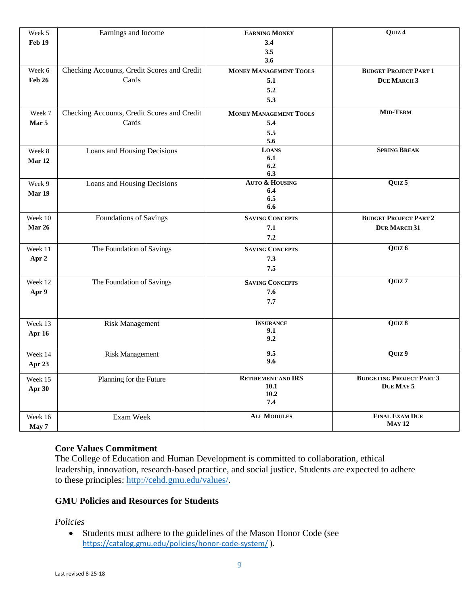| Week 5        | Earnings and Income                         | <b>EARNING MONEY</b>                     | QUIZ <sub>4</sub>                            |
|---------------|---------------------------------------------|------------------------------------------|----------------------------------------------|
| Feb 19        |                                             | 3.4                                      |                                              |
|               |                                             | 3.5                                      |                                              |
|               |                                             | 3.6                                      |                                              |
| Week 6        | Checking Accounts, Credit Scores and Credit | <b>MONEY MANAGEMENT TOOLS</b>            | <b>BUDGET PROJECT PART 1</b>                 |
| <b>Feb 26</b> | Cards                                       | 5.1                                      | <b>DUE MARCH 3</b>                           |
|               |                                             | 5.2                                      |                                              |
|               |                                             | 5.3                                      |                                              |
| Week 7        | Checking Accounts, Credit Scores and Credit | <b>MONEY MANAGEMENT TOOLS</b>            | <b>MID-TERM</b>                              |
| Mar 5         | Cards                                       | 5.4                                      |                                              |
|               |                                             | 5.5                                      |                                              |
|               |                                             | 5.6                                      |                                              |
| Week 8        | Loans and Housing Decisions                 | <b>LOANS</b>                             | <b>SPRING BREAK</b>                          |
| Mar 12        |                                             | 6.1<br>6.2                               |                                              |
|               |                                             | 6.3                                      |                                              |
| Week 9        | Loans and Housing Decisions                 | <b>AUTO &amp; HOUSING</b>                | QUIZ <sub>5</sub>                            |
| Mar 19        |                                             | 6.4                                      |                                              |
|               |                                             | 6.5<br>6.6                               |                                              |
|               |                                             |                                          |                                              |
| Week 10       | Foundations of Savings                      | <b>SAVING CONCEPTS</b>                   | <b>BUDGET PROJECT PART 2</b>                 |
| Mar 26        |                                             | 7.1                                      | <b>DUR MARCH 31</b>                          |
|               |                                             | 7.2                                      |                                              |
| Week 11       | The Foundation of Savings                   | <b>SAVING CONCEPTS</b>                   | QUIZ <sub>6</sub>                            |
| Apr 2         |                                             | 7.3                                      |                                              |
|               |                                             | 7.5                                      |                                              |
| Week 12       | The Foundation of Savings                   | <b>SAVING CONCEPTS</b>                   | QUIZ <sub>7</sub>                            |
| Apr 9         |                                             | 7.6                                      |                                              |
|               |                                             | 7.7                                      |                                              |
|               |                                             |                                          |                                              |
| Week 13       | <b>Risk Management</b>                      | <b>INSURANCE</b>                         | QUIZ 8                                       |
| Apr 16        |                                             | 9.1                                      |                                              |
|               |                                             | 9.2                                      |                                              |
| Week 14       | <b>Risk Management</b>                      | 9.5                                      | QUIZ 9                                       |
| Apr 23        |                                             | 9.6                                      |                                              |
|               |                                             |                                          |                                              |
| Week 15       | Planning for the Future                     | <b>RETIREMENT AND IRS</b><br><b>10.1</b> | <b>BUDGETING PROJECT PART 3</b><br>DUE MAY 5 |
| Apr 30        |                                             | 10.2                                     |                                              |
|               |                                             | 7.4                                      |                                              |
|               |                                             | <b>ALL MODULES</b>                       | <b>FINAL EXAM DUE</b>                        |
| Week 16       | Exam Week                                   |                                          | <b>MAY 12</b>                                |
| May 7         |                                             |                                          |                                              |

## **Core Values Commitment**

The College of Education and Human Development is committed to collaboration, ethical leadership, innovation, research-based practice, and social justice. Students are expected to adhere to these principles: [http://cehd.gmu.edu/values/.](http://cehd.gmu.edu/values/)

#### **GMU Policies and Resources for Students**

#### *Policies*

 Students must adhere to the guidelines of the Mason Honor Code (see <https://catalog.gmu.edu/policies/honor-code-system/> ).